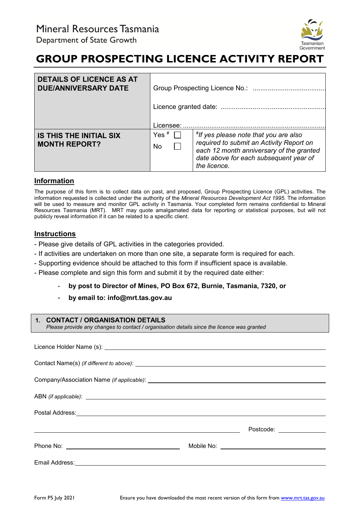

# **GROUP PROSPECTING LICENCE ACTIVITY REPORT**

| <b>DETAILS OF LICENCE AS AT</b><br><b>DUE/ANNIVERSARY DATE</b> |                      |                                                                                                                                                                                                 |
|----------------------------------------------------------------|----------------------|-------------------------------------------------------------------------------------------------------------------------------------------------------------------------------------------------|
|                                                                | Licensee:            |                                                                                                                                                                                                 |
| <b>IS THIS THE INITIAL SIX</b><br><b>MONTH REPORT?</b>         | Yes ${}^{\#}$<br>No. | <i>f</i> If yes please note that you are also<br>required to submit an Activity Report on<br>each 12 month anniversary of the granted<br>date above for each subsequent year of<br>the licence. |

### **Information**

The purpose of this form is to collect data on past, and proposed, Group Prospecting Licence (GPL) activities. The information requested is collected under the authority of the *Mineral Resources Development Act 1995*. The information will be used to measure and monitor GPL activity in Tasmania. Your completed form remains confidential to Mineral Resources Tasmania (MRT). MRT may quote amalgamated data for reporting or statistical purposes, but will not publicly reveal information if it can be related to a specific client.

# **Instructions**

- Please give details of GPL activities in the categories provided.
- If activities are undertaken on more than one site, a separate form is required for each.
- Supporting evidence should be attached to this form if insufficient space is available.
- Please complete and sign this form and submit it by the required date either:
	- **by post to Director of Mines, PO Box 672, Burnie, Tasmania, 7320, or**
	- **by email to: info@mrt.tas.gov.au**

#### **1. CONTACT / ORGANISATION DETAILS**

*Please provide any changes to contact / organisation details since the licence was granted*

| Postal Address: <u>Communications and Communications and Communications and Communications and Communications and Communications and Communications and Communications and Communications and Communications and Communications </u> |  |                           |  |  |  |
|--------------------------------------------------------------------------------------------------------------------------------------------------------------------------------------------------------------------------------------|--|---------------------------|--|--|--|
| <u> 1989 - Johann Stoff, deutscher Stoffen und der Stoffen und der Stoffen und der Stoffen und der Stoffen und der</u>                                                                                                               |  | Postcode: _______________ |  |  |  |
|                                                                                                                                                                                                                                      |  |                           |  |  |  |
|                                                                                                                                                                                                                                      |  |                           |  |  |  |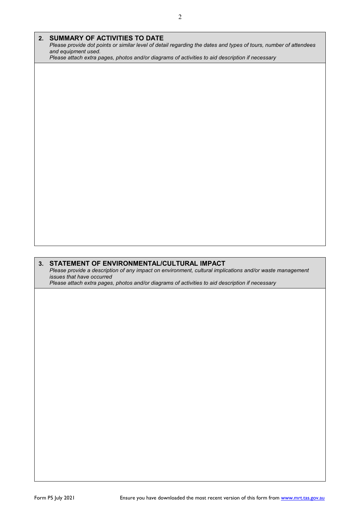| 2. SUMMARY OF ACTIVITIES TO DATE                                                                                                                          |
|-----------------------------------------------------------------------------------------------------------------------------------------------------------|
| Please provide dot points or similar level of detail regarding the dates and types of tours, number of attendees                                          |
| and equipment used.<br>Please attach extra pages, photos and/or diagrams of activities to aid description if necessary                                    |
|                                                                                                                                                           |
|                                                                                                                                                           |
|                                                                                                                                                           |
|                                                                                                                                                           |
|                                                                                                                                                           |
|                                                                                                                                                           |
|                                                                                                                                                           |
|                                                                                                                                                           |
|                                                                                                                                                           |
|                                                                                                                                                           |
|                                                                                                                                                           |
|                                                                                                                                                           |
|                                                                                                                                                           |
|                                                                                                                                                           |
|                                                                                                                                                           |
|                                                                                                                                                           |
|                                                                                                                                                           |
|                                                                                                                                                           |
|                                                                                                                                                           |
|                                                                                                                                                           |
| 3. STATEMENT OF ENVIRONMENTAL/CULTURAL IMPACT<br>Please provide a description of any impact on environment, cultural implications and/or waste management |
| issues that have occurred                                                                                                                                 |
| Please attach extra pages, photos and/or diagrams of activities to aid description if necessary                                                           |
|                                                                                                                                                           |
|                                                                                                                                                           |
|                                                                                                                                                           |
|                                                                                                                                                           |
|                                                                                                                                                           |
|                                                                                                                                                           |
|                                                                                                                                                           |
|                                                                                                                                                           |
|                                                                                                                                                           |
|                                                                                                                                                           |
|                                                                                                                                                           |
|                                                                                                                                                           |
|                                                                                                                                                           |
|                                                                                                                                                           |